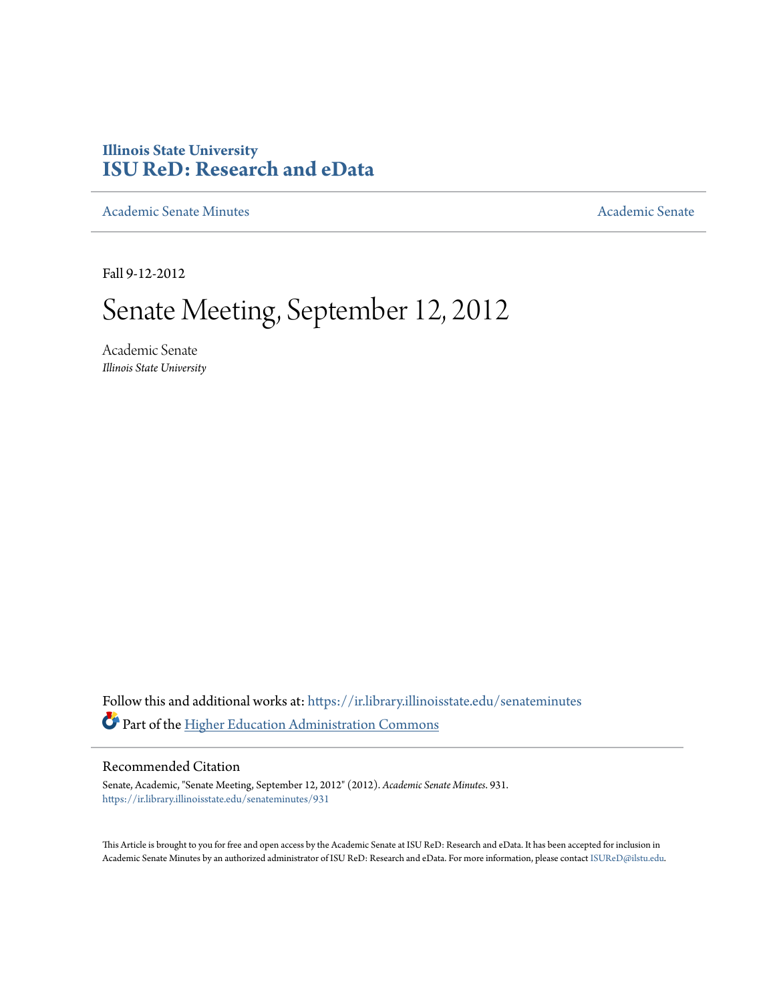## **Illinois State University [ISU ReD: Research and eData](https://ir.library.illinoisstate.edu?utm_source=ir.library.illinoisstate.edu%2Fsenateminutes%2F931&utm_medium=PDF&utm_campaign=PDFCoverPages)**

[Academic Senate Minutes](https://ir.library.illinoisstate.edu/senateminutes?utm_source=ir.library.illinoisstate.edu%2Fsenateminutes%2F931&utm_medium=PDF&utm_campaign=PDFCoverPages) [Academic Senate](https://ir.library.illinoisstate.edu/senate?utm_source=ir.library.illinoisstate.edu%2Fsenateminutes%2F931&utm_medium=PDF&utm_campaign=PDFCoverPages) Academic Senate

Fall 9-12-2012

# Senate Meeting, September 12, 2012

Academic Senate *Illinois State University*

Follow this and additional works at: [https://ir.library.illinoisstate.edu/senateminutes](https://ir.library.illinoisstate.edu/senateminutes?utm_source=ir.library.illinoisstate.edu%2Fsenateminutes%2F931&utm_medium=PDF&utm_campaign=PDFCoverPages) Part of the [Higher Education Administration Commons](http://network.bepress.com/hgg/discipline/791?utm_source=ir.library.illinoisstate.edu%2Fsenateminutes%2F931&utm_medium=PDF&utm_campaign=PDFCoverPages)

#### Recommended Citation

Senate, Academic, "Senate Meeting, September 12, 2012" (2012). *Academic Senate Minutes*. 931. [https://ir.library.illinoisstate.edu/senateminutes/931](https://ir.library.illinoisstate.edu/senateminutes/931?utm_source=ir.library.illinoisstate.edu%2Fsenateminutes%2F931&utm_medium=PDF&utm_campaign=PDFCoverPages)

This Article is brought to you for free and open access by the Academic Senate at ISU ReD: Research and eData. It has been accepted for inclusion in Academic Senate Minutes by an authorized administrator of ISU ReD: Research and eData. For more information, please contact [ISUReD@ilstu.edu.](mailto:ISUReD@ilstu.edu)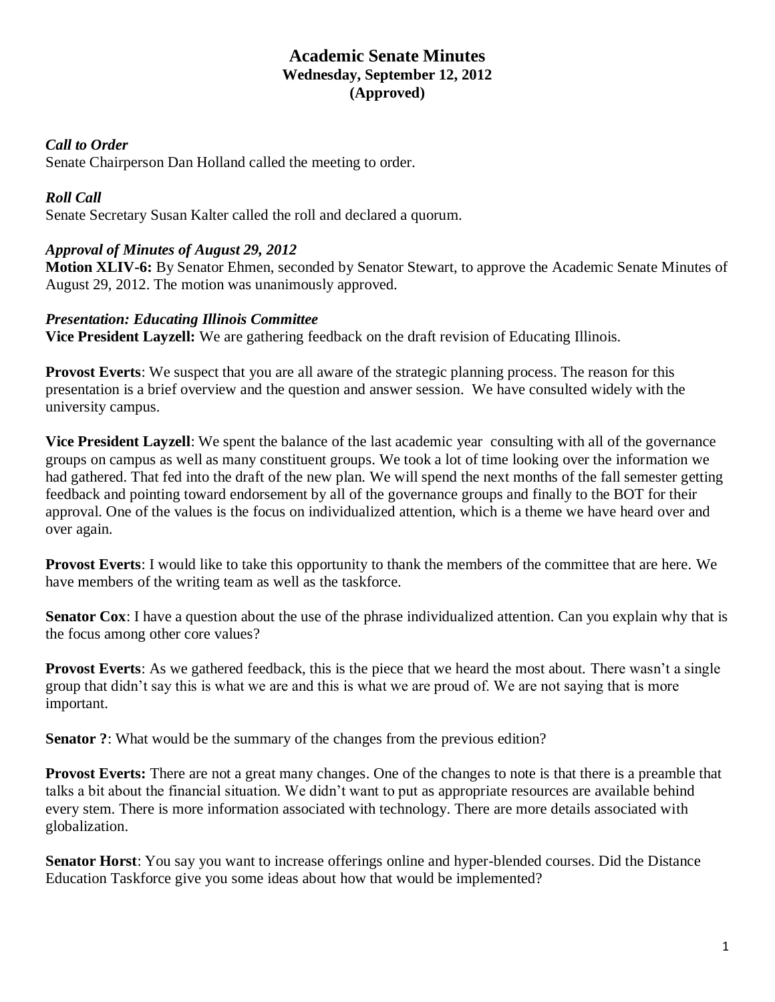## **Academic Senate Minutes Wednesday, September 12, 2012 (Approved)**

## *Call to Order*

Senate Chairperson Dan Holland called the meeting to order.

## *Roll Call*

Senate Secretary Susan Kalter called the roll and declared a quorum.

## *Approval of Minutes of August 29, 2012*

**Motion XLIV-6:** By Senator Ehmen, seconded by Senator Stewart, to approve the Academic Senate Minutes of August 29, 2012. The motion was unanimously approved.

## *Presentation: Educating Illinois Committee*

**Vice President Layzell:** We are gathering feedback on the draft revision of Educating Illinois.

**Provost Everts**: We suspect that you are all aware of the strategic planning process. The reason for this presentation is a brief overview and the question and answer session. We have consulted widely with the university campus.

**Vice President Layzell**: We spent the balance of the last academic year consulting with all of the governance groups on campus as well as many constituent groups. We took a lot of time looking over the information we had gathered. That fed into the draft of the new plan. We will spend the next months of the fall semester getting feedback and pointing toward endorsement by all of the governance groups and finally to the BOT for their approval. One of the values is the focus on individualized attention, which is a theme we have heard over and over again.

**Provost Everts**: I would like to take this opportunity to thank the members of the committee that are here. We have members of the writing team as well as the taskforce.

**Senator Cox**: I have a question about the use of the phrase individualized attention. Can you explain why that is the focus among other core values?

**Provost Everts**: As we gathered feedback, this is the piece that we heard the most about. There wasn't a single group that didn't say this is what we are and this is what we are proud of. We are not saying that is more important.

**Senator ?**: What would be the summary of the changes from the previous edition?

**Provost Everts:** There are not a great many changes. One of the changes to note is that there is a preamble that talks a bit about the financial situation. We didn't want to put as appropriate resources are available behind every stem. There is more information associated with technology. There are more details associated with globalization.

**Senator Horst**: You say you want to increase offerings online and hyper-blended courses. Did the Distance Education Taskforce give you some ideas about how that would be implemented?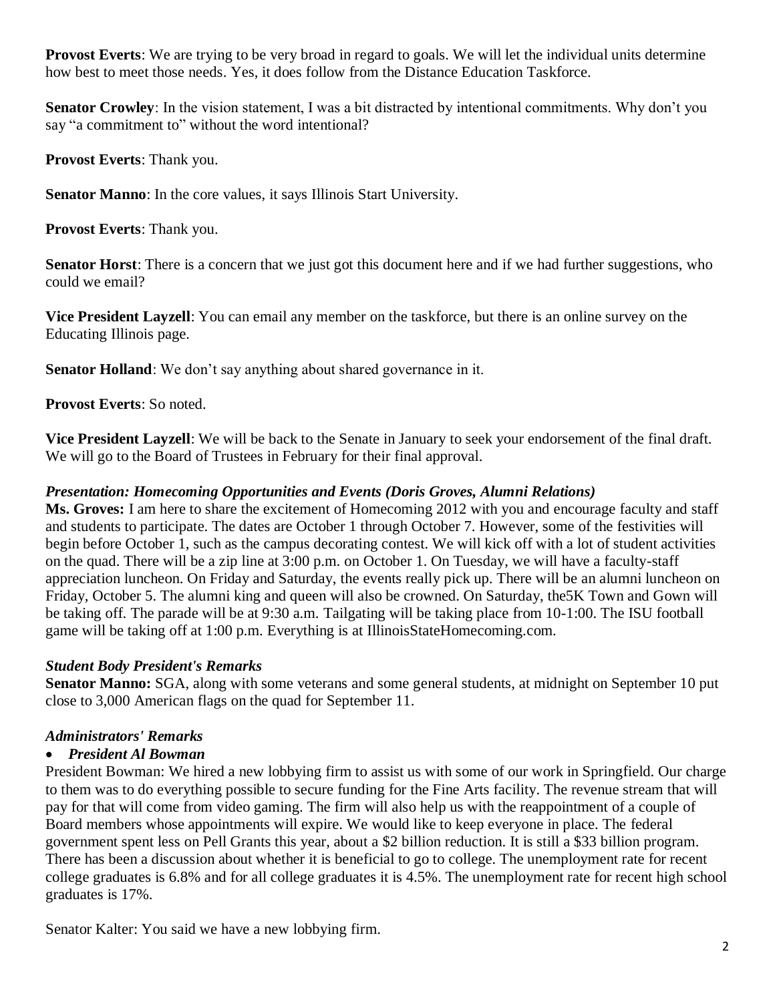**Provost Everts:** We are trying to be very broad in regard to goals. We will let the individual units determine how best to meet those needs. Yes, it does follow from the Distance Education Taskforce.

**Senator Crowley**: In the vision statement, I was a bit distracted by intentional commitments. Why don't you say "a commitment to" without the word intentional?

**Provost Everts**: Thank you.

**Senator Manno**: In the core values, it says Illinois Start University.

**Provost Everts**: Thank you.

**Senator Horst**: There is a concern that we just got this document here and if we had further suggestions, who could we email?

**Vice President Layzell**: You can email any member on the taskforce, but there is an online survey on the Educating Illinois page.

**Senator Holland**: We don't say anything about shared governance in it.

**Provost Everts**: So noted.

**Vice President Layzell**: We will be back to the Senate in January to seek your endorsement of the final draft. We will go to the Board of Trustees in February for their final approval.

## *Presentation: Homecoming Opportunities and Events (Doris Groves, Alumni Relations)*

**Ms. Groves:** I am here to share the excitement of Homecoming 2012 with you and encourage faculty and staff and students to participate. The dates are October 1 through October 7. However, some of the festivities will begin before October 1, such as the campus decorating contest. We will kick off with a lot of student activities on the quad. There will be a zip line at 3:00 p.m. on October 1. On Tuesday, we will have a faculty-staff appreciation luncheon. On Friday and Saturday, the events really pick up. There will be an alumni luncheon on Friday, October 5. The alumni king and queen will also be crowned. On Saturday, the5K Town and Gown will be taking off. The parade will be at 9:30 a.m. Tailgating will be taking place from 10-1:00. The ISU football game will be taking off at 1:00 p.m. Everything is at IllinoisStateHomecoming.com.

## *Student Body President's Remarks*

**Senator Manno:** SGA, along with some veterans and some general students, at midnight on September 10 put close to 3,000 American flags on the quad for September 11.

## *Administrators' Remarks*

## • *President Al Bowman*

President Bowman: We hired a new lobbying firm to assist us with some of our work in Springfield. Our charge to them was to do everything possible to secure funding for the Fine Arts facility. The revenue stream that will pay for that will come from video gaming. The firm will also help us with the reappointment of a couple of Board members whose appointments will expire. We would like to keep everyone in place. The federal government spent less on Pell Grants this year, about a \$2 billion reduction. It is still a \$33 billion program. There has been a discussion about whether it is beneficial to go to college. The unemployment rate for recent college graduates is 6.8% and for all college graduates it is 4.5%. The unemployment rate for recent high school graduates is 17%.

Senator Kalter: You said we have a new lobbying firm.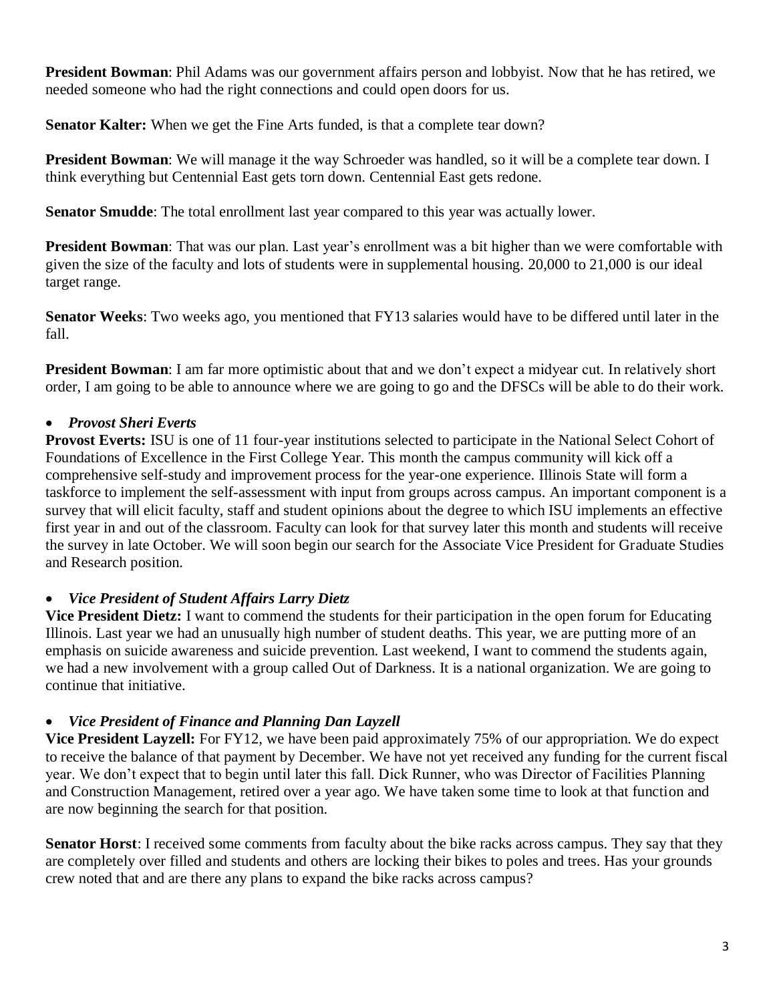**President Bowman**: Phil Adams was our government affairs person and lobbyist. Now that he has retired, we needed someone who had the right connections and could open doors for us.

**Senator Kalter:** When we get the Fine Arts funded, is that a complete tear down?

**President Bowman**: We will manage it the way Schroeder was handled, so it will be a complete tear down. I think everything but Centennial East gets torn down. Centennial East gets redone.

**Senator Smudde**: The total enrollment last year compared to this year was actually lower.

**President Bowman**: That was our plan. Last year's enrollment was a bit higher than we were comfortable with given the size of the faculty and lots of students were in supplemental housing. 20,000 to 21,000 is our ideal target range.

**Senator Weeks**: Two weeks ago, you mentioned that FY13 salaries would have to be differed until later in the fall.

**President Bowman**: I am far more optimistic about that and we don't expect a midyear cut. In relatively short order, I am going to be able to announce where we are going to go and the DFSCs will be able to do their work.

## • *Provost Sheri Everts*

**Provost Everts:** ISU is one of 11 four-year institutions selected to participate in the National Select Cohort of Foundations of Excellence in the First College Year. This month the campus community will kick off a comprehensive self-study and improvement process for the year-one experience. Illinois State will form a taskforce to implement the self-assessment with input from groups across campus. An important component is a survey that will elicit faculty, staff and student opinions about the degree to which ISU implements an effective first year in and out of the classroom. Faculty can look for that survey later this month and students will receive the survey in late October. We will soon begin our search for the Associate Vice President for Graduate Studies and Research position.

## • *Vice President of Student Affairs Larry Dietz*

**Vice President Dietz:** I want to commend the students for their participation in the open forum for Educating Illinois. Last year we had an unusually high number of student deaths. This year, we are putting more of an emphasis on suicide awareness and suicide prevention. Last weekend, I want to commend the students again, we had a new involvement with a group called Out of Darkness. It is a national organization. We are going to continue that initiative.

## • *Vice President of Finance and Planning Dan Layzell*

**Vice President Layzell:** For FY12, we have been paid approximately 75% of our appropriation. We do expect to receive the balance of that payment by December. We have not yet received any funding for the current fiscal year. We don't expect that to begin until later this fall. Dick Runner, who was Director of Facilities Planning and Construction Management, retired over a year ago. We have taken some time to look at that function and are now beginning the search for that position.

**Senator Horst**: I received some comments from faculty about the bike racks across campus. They say that they are completely over filled and students and others are locking their bikes to poles and trees. Has your grounds crew noted that and are there any plans to expand the bike racks across campus?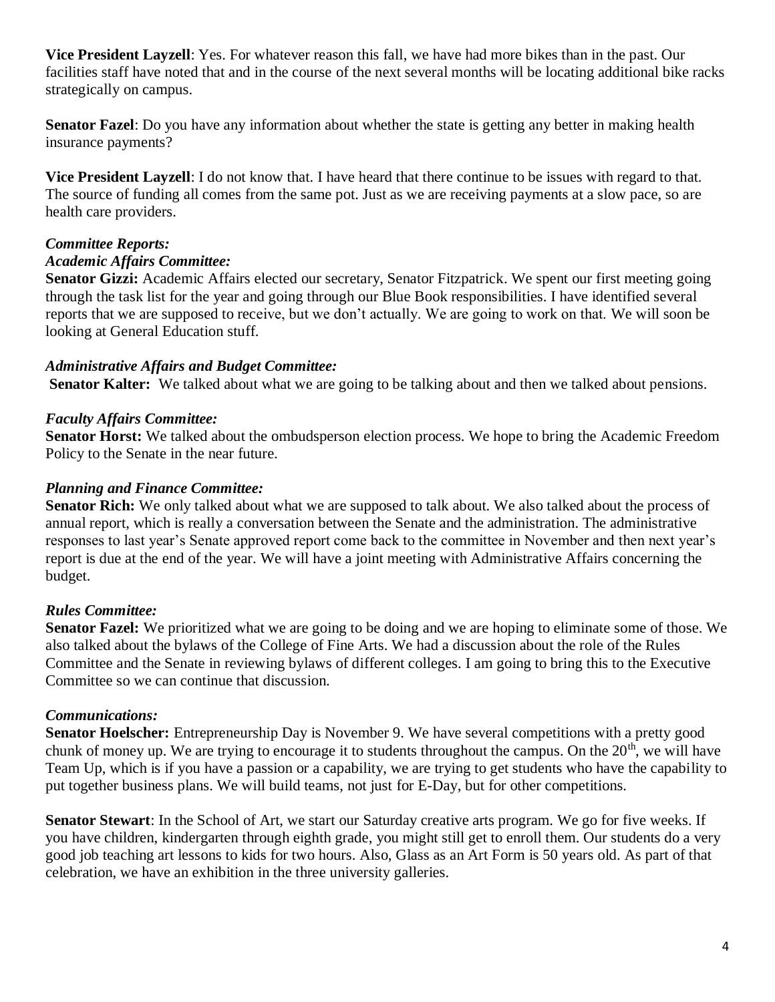**Vice President Layzell**: Yes. For whatever reason this fall, we have had more bikes than in the past. Our facilities staff have noted that and in the course of the next several months will be locating additional bike racks strategically on campus.

**Senator Fazel**: Do you have any information about whether the state is getting any better in making health insurance payments?

**Vice President Layzell**: I do not know that. I have heard that there continue to be issues with regard to that. The source of funding all comes from the same pot. Just as we are receiving payments at a slow pace, so are health care providers.

## *Committee Reports:*

## *Academic Affairs Committee:*

**Senator Gizzi:** Academic Affairs elected our secretary, Senator Fitzpatrick. We spent our first meeting going through the task list for the year and going through our Blue Book responsibilities. I have identified several reports that we are supposed to receive, but we don't actually. We are going to work on that. We will soon be looking at General Education stuff.

## *Administrative Affairs and Budget Committee:*

**Senator Kalter:** We talked about what we are going to be talking about and then we talked about pensions.

## *Faculty Affairs Committee:*

**Senator Horst:** We talked about the ombudsperson election process. We hope to bring the Academic Freedom Policy to the Senate in the near future.

## *Planning and Finance Committee:*

**Senator Rich:** We only talked about what we are supposed to talk about. We also talked about the process of annual report, which is really a conversation between the Senate and the administration. The administrative responses to last year's Senate approved report come back to the committee in November and then next year's report is due at the end of the year. We will have a joint meeting with Administrative Affairs concerning the budget.

## *Rules Committee:*

**Senator Fazel:** We prioritized what we are going to be doing and we are hoping to eliminate some of those. We also talked about the bylaws of the College of Fine Arts. We had a discussion about the role of the Rules Committee and the Senate in reviewing bylaws of different colleges. I am going to bring this to the Executive Committee so we can continue that discussion.

## *Communications:*

**Senator Hoelscher:** Entrepreneurship Day is November 9. We have several competitions with a pretty good chunk of money up. We are trying to encourage it to students throughout the campus. On the  $20<sup>th</sup>$ , we will have Team Up, which is if you have a passion or a capability, we are trying to get students who have the capability to put together business plans. We will build teams, not just for E-Day, but for other competitions.

**Senator Stewart**: In the School of Art, we start our Saturday creative arts program. We go for five weeks. If you have children, kindergarten through eighth grade, you might still get to enroll them. Our students do a very good job teaching art lessons to kids for two hours. Also, Glass as an Art Form is 50 years old. As part of that celebration, we have an exhibition in the three university galleries.